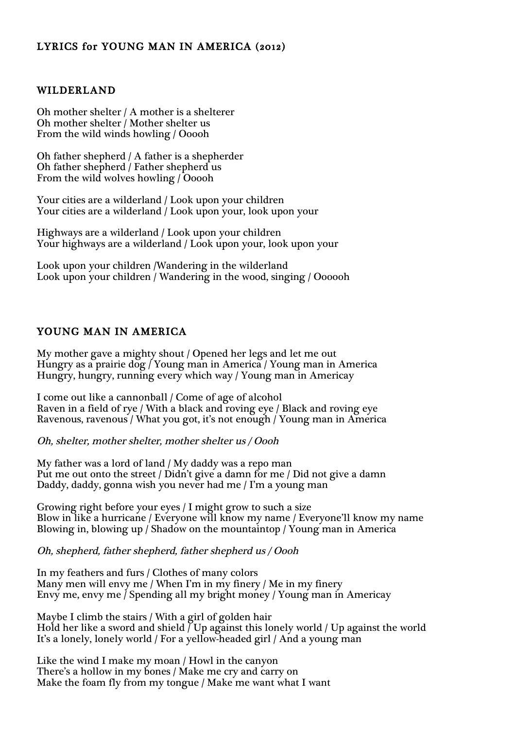# LYRICS for YOUNG MAN IN AMERICA (2012)

#### WILDERLAND

Oh mother shelter / A mother is a shelterer Oh mother shelter / Mother shelter us From the wild winds howling / Ooooh

Oh father shepherd / A father is a shepherder Oh father shepherd / Father shepherd us From the wild wolves howling / Ooooh

Your cities are a wilderland / Look upon your children Your cities are a wilderland / Look upon your, look upon your

Highways are a wilderland / Look upon your children Your highways are a wilderland / Look upon your, look upon your

Look upon your children /Wandering in the wilderland Look upon your children / Wandering in the wood, singing / Oooooh

### YOUNG MAN IN AMERICA

My mother gave a mighty shout / Opened her legs and let me out Hungry as a prairie dog / Young man in America / Young man in America Hungry, hungry, running every which way / Young man in Americay

I come out like a cannonball / Come of age of alcohol Raven in a field of rye / With a black and roving eye / Black and roving eye Ravenous, ravenous / What you got, it's not enough / Young man in America

Oh, shelter, mother shelter, mother shelter us / Oooh

My father was a lord of land / My daddy was a repo man Put me out onto the street / Didn't give a damn for me / Did not give a damn Daddy, daddy, gonna wish you never had me / I'm a young man

Growing right before your eyes / I might grow to such a size Blow in like a hurricane / Everyone will know my name / Everyone'll know my name Blowing in, blowing up / Shadow on the mountaintop / Young man in America

Oh, shepherd, father shepherd, father shepherd us / Oooh

In my feathers and furs / Clothes of many colors Many men will envy me / When I'm in my finery / Me in my finery Envy me, envy me / Spending all my bright money / Young man in Americay

Maybe I climb the stairs / With a girl of golden hair Hold her like a sword and shield  $\bar{U}$  Up against this lonely world / Up against the world It's a lonely, lonely world / For a yellow-headed girl / And a young man

Like the wind I make my moan / Howl in the canyon There's a hollow in my bones / Make me cry and carry on Make the foam fly from my tongue / Make me want what I want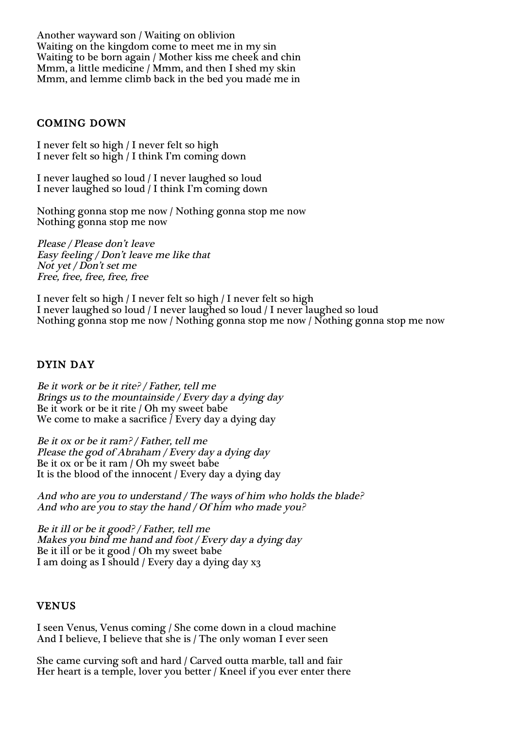Another wayward son / Waiting on oblivion Waiting on the kingdom come to meet me in my sin Waiting to be born again / Mother kiss me cheek and chin Mmm, a little medicine / Mmm, and then I shed my skin Mmm, and lemme climb back in the bed you made me in

## COMING DOWN

I never felt so high / I never felt so high I never felt so high / I think I'm coming down

I never laughed so loud / I never laughed so loud I never laughed so loud / I think I'm coming down

Nothing gonna stop me now / Nothing gonna stop me now Nothing gonna stop me now

Please / Please don't leave Easy feeling / Don't leave me like that Not yet / Don't set me Free, free, free, free, free

I never felt so high / I never felt so high / I never felt so high I never laughed so loud / I never laughed so loud / I never laughed so loud Nothing gonna stop me now / Nothing gonna stop me now / Nothing gonna stop me now

## DYIN DAY

Be it work or be it rite? / Father, tell me Brings us to the mountainside / Every day a dying day Be it work or be it rite / Oh my sweet babe We come to make a sacrifice / Every day a dying day

Be it ox or be it ram? / Father, tell me Please the god of Abraham / Every day a dying day Be it ox or be it ram / Oh my sweet babe It is the blood of the innocent / Every day a dying day

And who are you to understand / The ways of him who holds the blade? And who are you to stay the hand / Of him who made you?

Be it ill or be it good? / Father, tell me Makes you bind me hand and foot / Every day a dying day Be it ill or be it good / Oh my sweet babe I am doing as I should / Every day a dying day x3

#### VENUS

I seen Venus, Venus coming / She come down in a cloud machine And I believe, I believe that she is / The only woman I ever seen

She came curving soft and hard / Carved outta marble, tall and fair Her heart is a temple, lover you better / Kneel if you ever enter there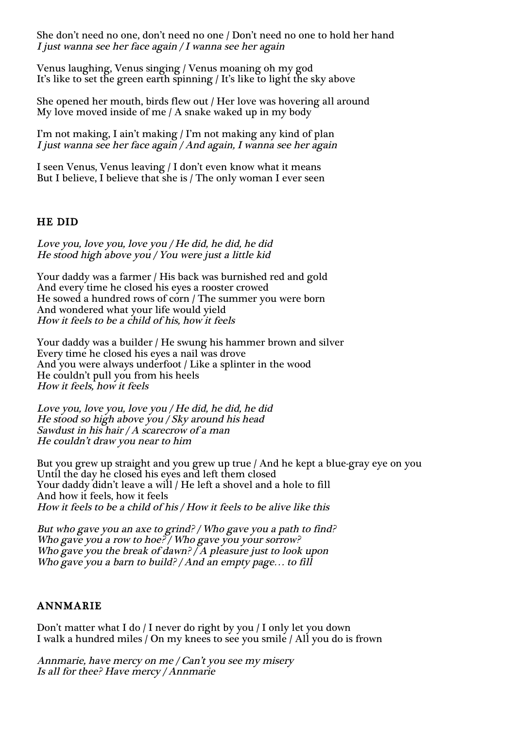She don't need no one, don't need no one / Don't need no one to hold her hand I just wanna see her face again / I wanna see her again

Venus laughing, Venus singing / Venus moaning oh my god It's like to set the green earth spinning / It's like to light the sky above

She opened her mouth, birds flew out / Her love was hovering all around My love moved inside of me / A snake waked up in my body

I'm not making, I ain't making / I'm not making any kind of plan I just wanna see her face again / And again, I wanna see her again

I seen Venus, Venus leaving / I don't even know what it means But I believe, I believe that she is / The only woman I ever seen

### HE DID

Love you, love you, love you / He did, he did, he did He stood high above you / You were just a little kid

Your daddy was a farmer / His back was burnished red and gold And every time he closed his eyes a rooster crowed He sowed a hundred rows of corn / The summer you were born And wondered what your life would yield How it feels to be a child of his, how it feels

Your daddy was a builder / He swung his hammer brown and silver Every time he closed his eyes a nail was drove And you were always underfoot / Like a splinter in the wood He couldn't pull you from his heels How it feels, how it feels

Love you, love you, love you / He did, he did, he did He stood so high above you / Sky around his head Sawdust in his hair / A scarecrow of a man He couldn't draw you near to him

But you grew up straight and you grew up true / And he kept a blue-gray eye on you Until the day he closed his eyes and left them closed Your daddy didn't leave a will / He left a shovel and a hole to fill And how it feels, how it feels How it feels to be a child of his / How it feels to be alive like this

But who gave you an axe to grind? / Who gave you a path to find? Who gave you a row to hoe? / Who gave you your sorrow? Who gave you the break of dawn? / A pleasure just to look upon Who gave you a barn to build? / And an empty page… to fill

### ANNMARIE

Don't matter what I do / I never do right by you / I only let you down I walk a hundred miles / On my knees to see you smile / All you do is frown

Annmarie, have mercy on me / Can't you see my misery Is all for thee? Have mercy / Annmarie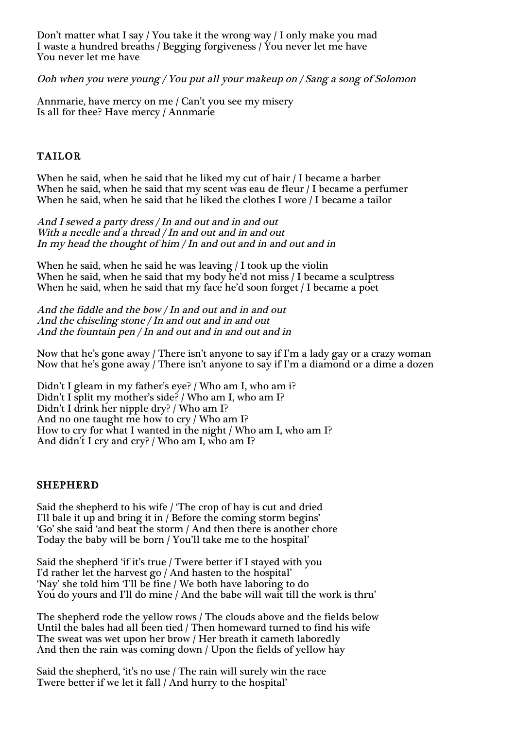Don't matter what I say / You take it the wrong way / I only make you mad I waste a hundred breaths / Begging forgiveness / You never let me have You never let me have

Ooh when you were young / You put all your makeup on / Sang a song of Solomon

Annmarie, have mercy on me / Can't you see my misery Is all for thee? Have mercy / Annmarie

### TAILOR

When he said, when he said that he liked my cut of hair / I became a barber When he said, when he said that my scent was eau de fleur / I became a perfumer When he said, when he said that he liked the clothes I wore / I became a tailor

And I sewed a party dress / In and out and in and out With a needle and a thread / In and out and in and out In my head the thought of him / In and out and in and out and in

When he said, when he said he was leaving / I took up the violin When he said, when he said that my body he'd not miss / I became a sculptress When he said, when he said that my face he'd soon forget / I became a poet

And the fiddle and the bow / In and out and in and out And the chiseling stone / In and out and in and out And the fountain pen / In and out and in and out and in

Now that he's gone away / There isn't anyone to say if I'm a lady gay or a crazy woman Now that he's gone away / There isn't anyone to say if I'm a diamond or a dime a dozen

Didn't I gleam in my father's eye? / Who am I, who am i? Didn't I split my mother's side? / Who am I, who am I? Didn't I drink her nipple dry? / Who am I? And no one taught me how to cry / Who am I? How to cry for what I wanted in the night / Who am I, who am I? And didn't I cry and cry? / Who am I, who am I?

### SHEPHERD

Said the shepherd to his wife / 'The crop of hay is cut and dried I'll bale it up and bring it in / Before the coming storm begins' 'Go' she said 'and beat the storm / And then there is another chore Today the baby will be born / You'll take me to the hospital'

Said the shepherd 'if it's true / Twere better if I stayed with you I'd rather let the harvest go / And hasten to the hospital' 'Nay' she told him 'I'll be fine / We both have laboring to do You do yours and I'll do mine / And the babe will wait till the work is thru'

The shepherd rode the yellow rows / The clouds above and the fields below Until the bales had all been tied / Then homeward turned to find his wife The sweat was wet upon her brow / Her breath it cameth laboredly And then the rain was coming down / Upon the fields of yellow hay

Said the shepherd, 'it's no use / The rain will surely win the race Twere better if we let it fall / And hurry to the hospital'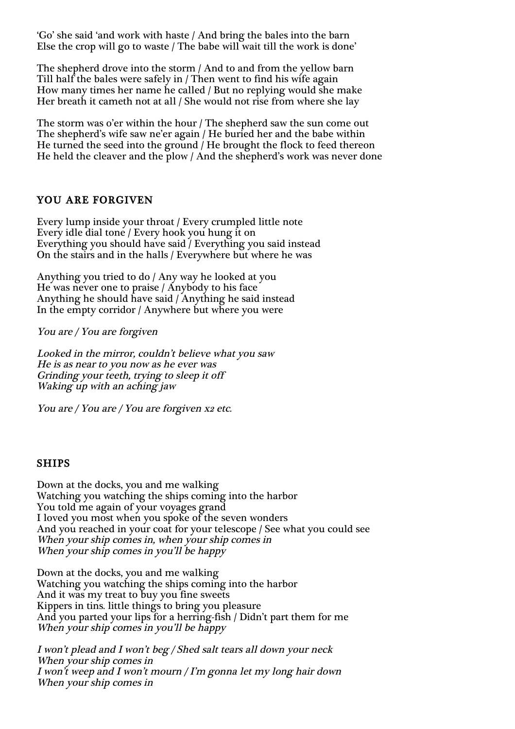'Go' she said 'and work with haste / And bring the bales into the barn Else the crop will go to waste / The babe will wait till the work is done'

The shepherd drove into the storm / And to and from the yellow barn Till half the bales were safely in / Then went to find his wife again How many times her name he called / But no replying would she make Her breath it cameth not at all / She would not rise from where she lay

The storm was o'er within the hour / The shepherd saw the sun come out The shepherd's wife saw ne'er again / He buried her and the babe within He turned the seed into the ground / He brought the flock to feed thereon He held the cleaver and the plow / And the shepherd's work was never done

### YOU ARE FORGIVEN

Every lump inside your throat / Every crumpled little note Every idle dial tone / Every hook you hung it on Everything you should have said / Everything you said instead On the stairs and in the halls / Everywhere but where he was

Anything you tried to do / Any way he looked at you He was never one to praise / Anybody to his face Anything he should have said / Anything he said instead In the empty corridor / Anywhere but where you were

You are / You are forgiven

Looked in the mirror, couldn't believe what you saw He is as near to you now as he ever was Grinding your teeth, trying to sleep it off Waking up with an aching jaw

You are / You are / You are forgiven x2 etc.

### SHIPS

Down at the docks, you and me walking Watching you watching the ships coming into the harbor You told me again of your voyages grand I loved you most when you spoke of the seven wonders And you reached in your coat for your telescope / See what you could see When your ship comes in, when your ship comes in When your ship comes in you'll be happy

Down at the docks, you and me walking Watching you watching the ships coming into the harbor And it was my treat to buy you fine sweets Kippers in tins. little things to bring you pleasure And you parted your lips for a herring-fish / Didn't part them for me When your ship comes in you'll be happy

I won't plead and I won't beg / Shed salt tears all down your neck When your ship comes in I won't weep and I won't mourn / I'm gonna let my long hair down When your ship comes in